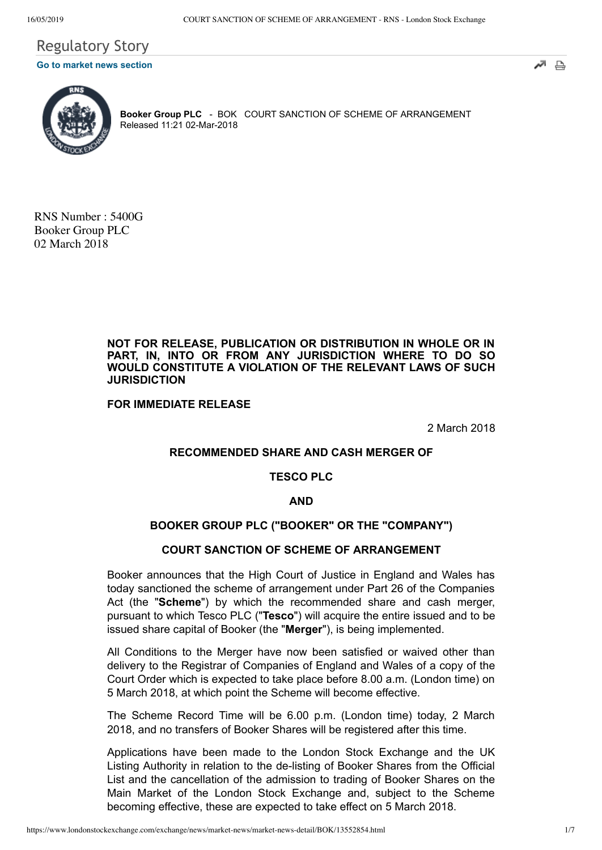# Regulatory Story **[Go to market news section](javascript: sendto()**





**Booker Group PLC** - BOK COURT SANCTION OF SCHEME OF ARRANGEMENT Released 11:21 02-Mar-2018

RNS Number : 5400G Booker Group PLC 02 March 2018

> **NOT FOR RELEASE, PUBLICATION OR DISTRIBUTION IN WHOLE OR IN PART, IN, INTO OR FROM ANY JURISDICTION WHERE TO DO SO WOULD CONSTITUTE A VIOLATION OF THE RELEVANT LAWS OF SUCH JURISDICTION**

**FOR IMMEDIATE RELEASE**

2 March 2018

# **RECOMMENDED SHARE AND CASH MERGER OF**

# **TESCO PLC**

#### **AND**

# **BOOKER GROUP PLC ("BOOKER" OR THE "COMPANY")**

#### **COURT SANCTION OF SCHEME OF ARRANGEMENT**

Booker announces that the High Court of Justice in England and Wales has today sanctioned the scheme of arrangement under Part 26 of the Companies Act (the "**Scheme**") by which the recommended share and cash merger, pursuant to which Tesco PLC ("**Tesco**") will acquire the entire issued and to be issued share capital of Booker (the "**Merger**"), is being implemented.

All Conditions to the Merger have now been satisfied or waived other than delivery to the Registrar of Companies of England and Wales of a copy of the Court Order which is expected to take place before 8.00 a.m. (London time) on 5 March 2018, at which point the Scheme will become effective.

The Scheme Record Time will be 6.00 p.m. (London time) today, 2 March 2018, and no transfers of Booker Shares will be registered after this time.

Applications have been made to the London Stock Exchange and the UK Listing Authority in relation to the de-listing of Booker Shares from the Official List and the cancellation of the admission to trading of Booker Shares on the Main Market of the London Stock Exchange and, subject to the Scheme becoming effective, these are expected to take effect on 5 March 2018.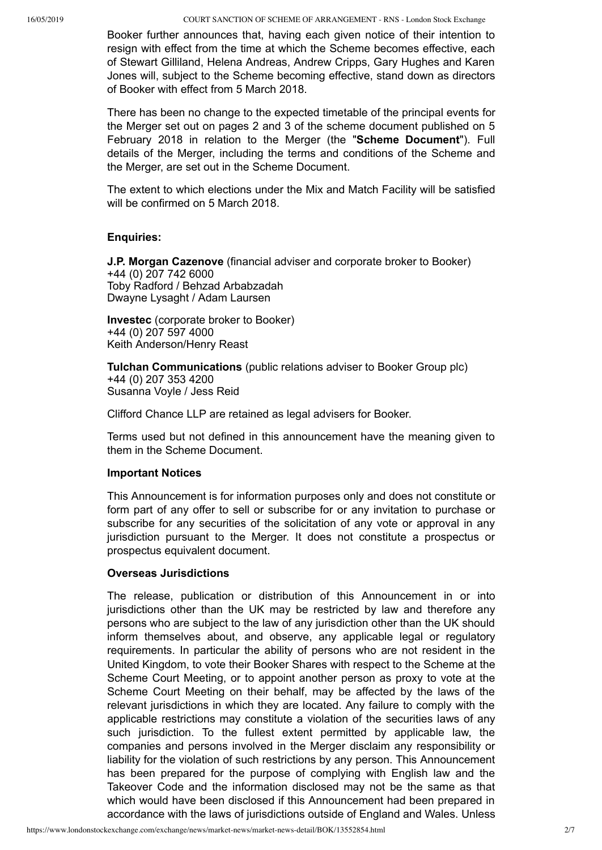Booker further announces that, having each given notice of their intention to resign with effect from the time at which the Scheme becomes effective, each of Stewart Gilliland, Helena Andreas, Andrew Cripps, Gary Hughes and Karen Jones will, subject to the Scheme becoming effective, stand down as directors of Booker with effect from 5 March 2018.

There has been no change to the expected timetable of the principal events for the Merger set out on pages 2 and 3 of the scheme document published on 5 February 2018 in relation to the Merger (the "**Scheme Document**"). Full details of the Merger, including the terms and conditions of the Scheme and the Merger, are set out in the Scheme Document.

The extent to which elections under the Mix and Match Facility will be satisfied will be confirmed on 5 March 2018.

### **Enquiries:**

**J.P. Morgan Cazenove** (financial adviser and corporate broker to Booker) +44 (0) 207 742 6000 Toby Radford / Behzad Arbabzadah Dwayne Lysaght / Adam Laursen

**Investec** (corporate broker to Booker) +44 (0) 207 597 4000 Keith Anderson/Henry Reast

**Tulchan Communications** (public relations adviser to Booker Group plc) +44 (0) 207 353 4200 Susanna Voyle / Jess Reid

Clifford Chance LLP are retained as legal advisers for Booker.

Terms used but not defined in this announcement have the meaning given to them in the Scheme Document.

# **Important Notices**

This Announcement is for information purposes only and does not constitute or form part of any offer to sell or subscribe for or any invitation to purchase or subscribe for any securities of the solicitation of any vote or approval in any jurisdiction pursuant to the Merger. It does not constitute a prospectus or prospectus equivalent document.

# **Overseas Jurisdictions**

The release, publication or distribution of this Announcement in or into jurisdictions other than the UK may be restricted by law and therefore any persons who are subject to the law of any jurisdiction other than the UK should inform themselves about, and observe, any applicable legal or regulatory requirements. In particular the ability of persons who are not resident in the United Kingdom, to vote their Booker Shares with respect to the Scheme at the Scheme Court Meeting, or to appoint another person as proxy to vote at the Scheme Court Meeting on their behalf, may be affected by the laws of the relevant jurisdictions in which they are located. Any failure to comply with the applicable restrictions may constitute a violation of the securities laws of any such jurisdiction. To the fullest extent permitted by applicable law, the companies and persons involved in the Merger disclaim any responsibility or liability for the violation of such restrictions by any person. This Announcement has been prepared for the purpose of complying with English law and the Takeover Code and the information disclosed may not be the same as that which would have been disclosed if this Announcement had been prepared in accordance with the laws of jurisdictions outside of England and Wales. Unless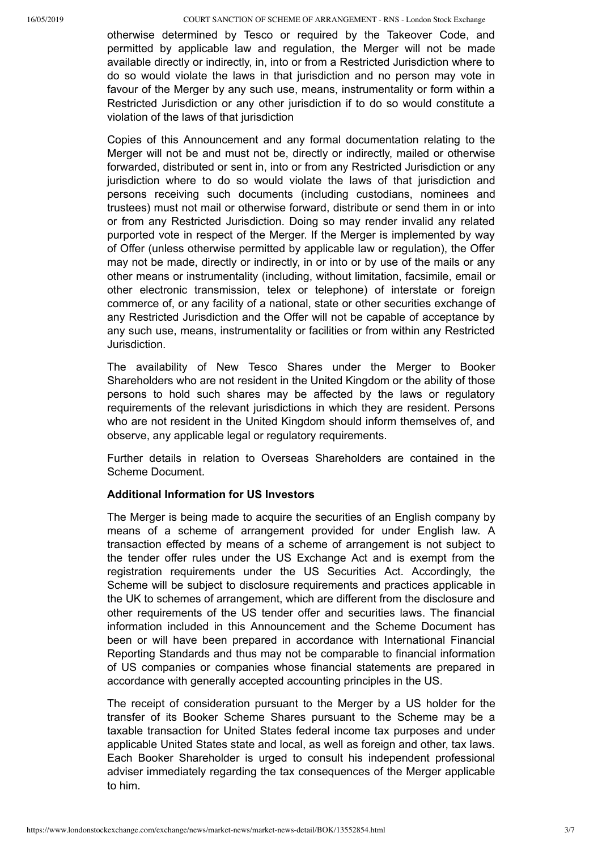otherwise determined by Tesco or required by the Takeover Code, and permitted by applicable law and regulation, the Merger will not be made available directly or indirectly, in, into or from a Restricted Jurisdiction where to do so would violate the laws in that jurisdiction and no person may vote in favour of the Merger by any such use, means, instrumentality or form within a Restricted Jurisdiction or any other jurisdiction if to do so would constitute a violation of the laws of that jurisdiction

Copies of this Announcement and any formal documentation relating to the Merger will not be and must not be, directly or indirectly, mailed or otherwise forwarded, distributed or sent in, into or from any Restricted Jurisdiction or any jurisdiction where to do so would violate the laws of that jurisdiction and persons receiving such documents (including custodians, nominees and trustees) must not mail or otherwise forward, distribute or send them in or into or from any Restricted Jurisdiction. Doing so may render invalid any related purported vote in respect of the Merger. If the Merger is implemented by way of Offer (unless otherwise permitted by applicable law or regulation), the Offer may not be made, directly or indirectly, in or into or by use of the mails or any other means or instrumentality (including, without limitation, facsimile, email or other electronic transmission, telex or telephone) of interstate or foreign commerce of, or any facility of a national, state or other securities exchange of any Restricted Jurisdiction and the Offer will not be capable of acceptance by any such use, means, instrumentality or facilities or from within any Restricted Jurisdiction.

The availability of New Tesco Shares under the Merger to Booker Shareholders who are not resident in the United Kingdom or the ability of those persons to hold such shares may be affected by the laws or regulatory requirements of the relevant jurisdictions in which they are resident. Persons who are not resident in the United Kingdom should inform themselves of, and observe, any applicable legal or regulatory requirements.

Further details in relation to Overseas Shareholders are contained in the Scheme Document.

# **Additional Information for US Investors**

The Merger is being made to acquire the securities of an English company by means of a scheme of arrangement provided for under English law. A transaction effected by means of a scheme of arrangement is not subject to the tender offer rules under the US Exchange Act and is exempt from the registration requirements under the US Securities Act. Accordingly, the Scheme will be subject to disclosure requirements and practices applicable in the UK to schemes of arrangement, which are different from the disclosure and other requirements of the US tender offer and securities laws. The financial information included in this Announcement and the Scheme Document has been or will have been prepared in accordance with International Financial Reporting Standards and thus may not be comparable to financial information of US companies or companies whose financial statements are prepared in accordance with generally accepted accounting principles in the US.

The receipt of consideration pursuant to the Merger by a US holder for the transfer of its Booker Scheme Shares pursuant to the Scheme may be a taxable transaction for United States federal income tax purposes and under applicable United States state and local, as well as foreign and other, tax laws. Each Booker Shareholder is urged to consult his independent professional adviser immediately regarding the tax consequences of the Merger applicable to him.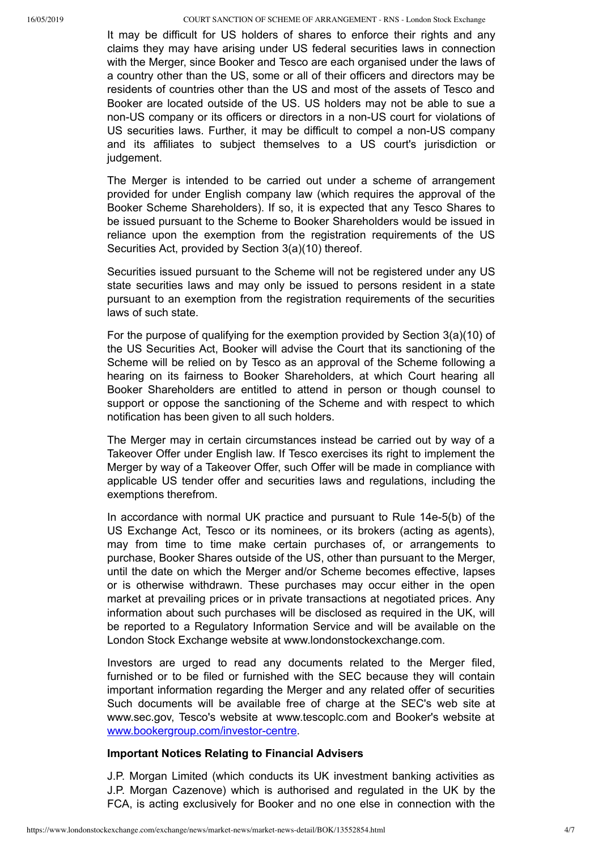It may be difficult for US holders of shares to enforce their rights and any claims they may have arising under US federal securities laws in connection with the Merger, since Booker and Tesco are each organised under the laws of a country other than the US, some or all of their officers and directors may be residents of countries other than the US and most of the assets of Tesco and Booker are located outside of the US. US holders may not be able to sue a non-US company or its officers or directors in a non-US court for violations of US securities laws. Further, it may be difficult to compel a non-US company and its affiliates to subject themselves to a US court's jurisdiction or judgement.

The Merger is intended to be carried out under a scheme of arrangement provided for under English company law (which requires the approval of the Booker Scheme Shareholders). If so, it is expected that any Tesco Shares to be issued pursuant to the Scheme to Booker Shareholders would be issued in reliance upon the exemption from the registration requirements of the US Securities Act, provided by Section 3(a)(10) thereof.

Securities issued pursuant to the Scheme will not be registered under any US state securities laws and may only be issued to persons resident in a state pursuant to an exemption from the registration requirements of the securities laws of such state.

For the purpose of qualifying for the exemption provided by Section 3(a)(10) of the US Securities Act, Booker will advise the Court that its sanctioning of the Scheme will be relied on by Tesco as an approval of the Scheme following a hearing on its fairness to Booker Shareholders, at which Court hearing all Booker Shareholders are entitled to attend in person or though counsel to support or oppose the sanctioning of the Scheme and with respect to which notification has been given to all such holders.

The Merger may in certain circumstances instead be carried out by way of a Takeover Offer under English law. If Tesco exercises its right to implement the Merger by way of a Takeover Offer, such Offer will be made in compliance with applicable US tender offer and securities laws and regulations, including the exemptions therefrom.

In accordance with normal UK practice and pursuant to Rule 14e-5(b) of the US Exchange Act, Tesco or its nominees, or its brokers (acting as agents), may from time to time make certain purchases of, or arrangements to purchase, Booker Shares outside of the US, other than pursuant to the Merger, until the date on which the Merger and/or Scheme becomes effective, lapses or is otherwise withdrawn. These purchases may occur either in the open market at prevailing prices or in private transactions at negotiated prices. Any information about such purchases will be disclosed as required in the UK, will be reported to a Regulatory Information Service and will be available on the London Stock Exchange website at www.londonstockexchange.com.

Investors are urged to read any documents related to the Merger filed, furnished or to be filed or furnished with the SEC because they will contain important information regarding the Merger and any related offer of securities Such documents will be available free of charge at the SEC's web site at www.sec.gov, Tesco's website at www.tescoplc.com and Booker's website at www.bookergroup.com/investor-centre.

#### **Important Notices Relating to Financial Advisers**

J.P. Morgan Limited (which conducts its UK investment banking activities as J.P. Morgan Cazenove) which is authorised and regulated in the UK by the FCA, is acting exclusively for Booker and no one else in connection with the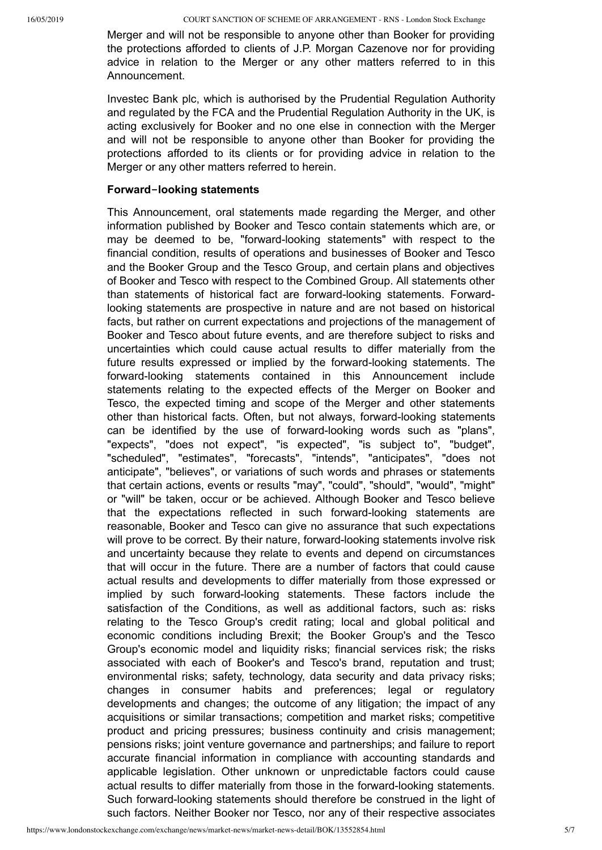Merger and will not be responsible to anyone other than Booker for providing the protections afforded to clients of J.P. Morgan Cazenove nor for providing advice in relation to the Merger or any other matters referred to in this Announcement.

Investec Bank plc, which is authorised by the Prudential Regulation Authority and regulated by the FCA and the Prudential Regulation Authority in the UK, is acting exclusively for Booker and no one else in connection with the Merger and will not be responsible to anyone other than Booker for providing the protections afforded to its clients or for providing advice in relation to the Merger or any other matters referred to herein.

# **Forward‑looking statements**

This Announcement, oral statements made regarding the Merger, and other information published by Booker and Tesco contain statements which are, or may be deemed to be, "forward-looking statements" with respect to the financial condition, results of operations and businesses of Booker and Tesco and the Booker Group and the Tesco Group, and certain plans and objectives of Booker and Tesco with respect to the Combined Group. All statements other than statements of historical fact are forward-looking statements. Forwardlooking statements are prospective in nature and are not based on historical facts, but rather on current expectations and projections of the management of Booker and Tesco about future events, and are therefore subject to risks and uncertainties which could cause actual results to differ materially from the future results expressed or implied by the forward-looking statements. The forward-looking statements contained in this Announcement include statements relating to the expected effects of the Merger on Booker and Tesco, the expected timing and scope of the Merger and other statements other than historical facts. Often, but not always, forward-looking statements can be identified by the use of forward-looking words such as "plans", "expects", "does not expect", "is expected", "is subject to", "budget", "scheduled", "estimates", "forecasts", "intends", "anticipates", "does not anticipate", "believes", or variations of such words and phrases or statements that certain actions, events or results "may", "could", "should", "would", "might" or "will" be taken, occur or be achieved. Although Booker and Tesco believe that the expectations reflected in such forward-looking statements are reasonable, Booker and Tesco can give no assurance that such expectations will prove to be correct. By their nature, forward-looking statements involve risk and uncertainty because they relate to events and depend on circumstances that will occur in the future. There are a number of factors that could cause actual results and developments to differ materially from those expressed or implied by such forward-looking statements. These factors include the satisfaction of the Conditions, as well as additional factors, such as: risks relating to the Tesco Group's credit rating; local and global political and economic conditions including Brexit; the Booker Group's and the Tesco Group's economic model and liquidity risks; financial services risk; the risks associated with each of Booker's and Tesco's brand, reputation and trust; environmental risks; safety, technology, data security and data privacy risks; changes in consumer habits and preferences; legal or regulatory developments and changes; the outcome of any litigation; the impact of any acquisitions or similar transactions; competition and market risks; competitive product and pricing pressures; business continuity and crisis management; pensions risks; joint venture governance and partnerships; and failure to report accurate financial information in compliance with accounting standards and applicable legislation. Other unknown or unpredictable factors could cause actual results to differ materially from those in the forward-looking statements. Such forward-looking statements should therefore be construed in the light of such factors. Neither Booker nor Tesco, nor any of their respective associates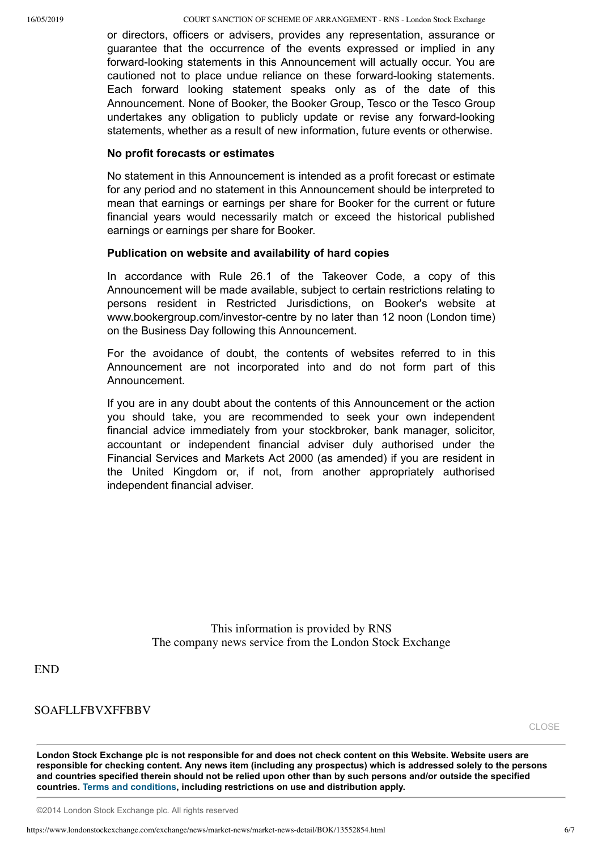or directors, officers or advisers, provides any representation, assurance or guarantee that the occurrence of the events expressed or implied in any forward-looking statements in this Announcement will actually occur. You are cautioned not to place undue reliance on these forward-looking statements. Each forward looking statement speaks only as of the date of this Announcement. None of Booker, the Booker Group, Tesco or the Tesco Group undertakes any obligation to publicly update or revise any forward-looking statements, whether as a result of new information, future events or otherwise.

## **No profit forecasts or estimates**

No statement in this Announcement is intended as a profit forecast or estimate for any period and no statement in this Announcement should be interpreted to mean that earnings or earnings per share for Booker for the current or future financial years would necessarily match or exceed the historical published earnings or earnings per share for Booker.

#### **Publication on website and availability of hard copies**

In accordance with Rule 26.1 of the Takeover Code, a copy of this Announcement will be made available, subject to certain restrictions relating to persons resident in Restricted Jurisdictions, on Booker's website at www.bookergroup.com/investor-centre by no later than 12 noon (London time) on the Business Day following this Announcement.

For the avoidance of doubt, the contents of websites referred to in this Announcement are not incorporated into and do not form part of this Announcement.

If you are in any doubt about the contents of this Announcement or the action you should take, you are recommended to seek your own independent financial advice immediately from your stockbroker, bank manager, solicitor, accountant or independent financial adviser duly authorised under the Financial Services and Markets Act 2000 (as amended) if you are resident in the United Kingdom or, if not, from another appropriately authorised independent financial adviser.

> This information is provided by RNS The company news service from the London Stock Exchange

# END

# SOAFLLFBVXFFBBV

[CLOSE](javascript:self.close();)

**London Stock Exchange plc is not responsible for and does not check content on this Website. Website users are responsible for checking content. Any news item (including any prospectus) which is addressed solely to the persons and countries specified therein should not be relied upon other than by such persons and/or outside the specified countries. [Terms and conditions](javascript: var x=window.open(), including restrictions on use and distribution apply.**